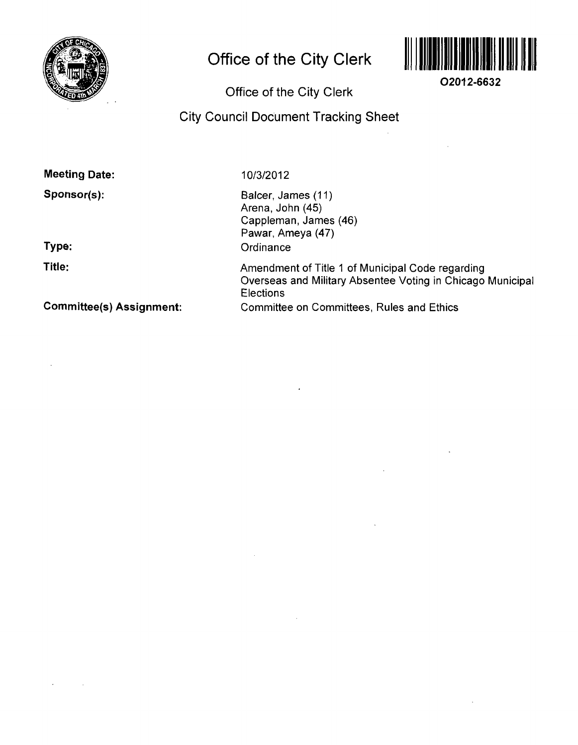

# **Office of the City Clerk**



**O2012-6632** 

# **Office of the City Clerk**

# **City Council Document Tracking Sheet**

**Meeting Date:** 

**Sponsor(s):** 

**Type:** 

**Title:** 

 $\mathcal{A}^{\mathcal{A}}$ 

 $\sim 10$ 

10/3/2012

Balcer, James (11) Arena, John (45) Cappleman, James (46) Pawar, Ameya (47) **Ordinance** 

Amendment of Title 1 of Municipal Code regarding Overseas and Military Absentee Voting in Chicago Municipal **Elections** Committee on Committees, Rules and Ethics

**Committee(s) Assignment:**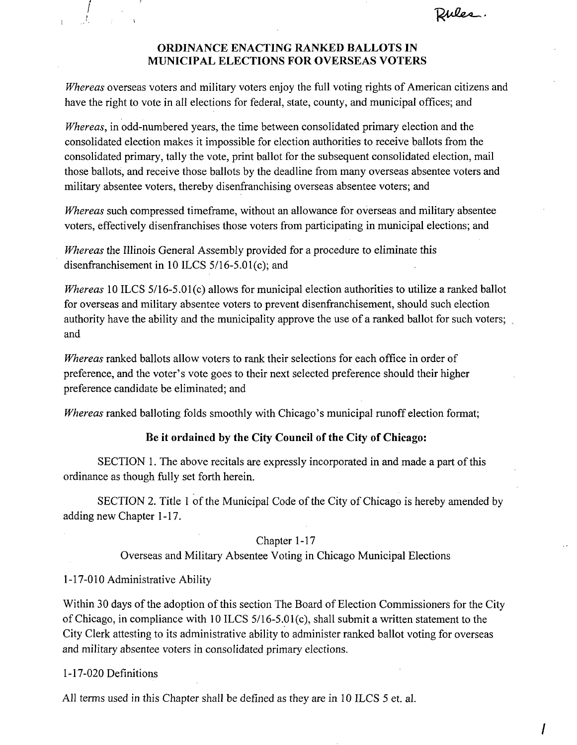Rules.

## **ORDINANCE ENACTING RANKED BALLOTS IN MUNICIPAL ELECTIONS FOR OVERSEAS VOTERS**

Whereas overseas voters and military voters enjoy the full voting rights of American citizens and have the right to vote in ail elections for federal, state, county, and municipal offices; and

Whereas, in odd-numbered years, the time between consolidated primary election and the consolidated election makes it impossible for election authorities to receive ballots from the consolidated primary, tally the vote, print ballot for the subsequent consolidated election, mail those ballots, and receive those ballots by the deadline from many overseas absentee voters and military absentee voters, thereby disenfranchising overseas absentee voters; and

Whereas such compressed timeframe, without an allowance for overseas and military absentee voters, effectively disenfranchises those voters from participating in municipal elections; and

Whereas the Illinois General Assembly provided for a procedure to eliminate this disenfranchisement in 10 ILCS 5/16-5.01(c); and

Whereas 10 ILCS 5/16-5.01(c) allows for municipal election authorities to utilize a ranked ballot for overseas and military absentee voters to prevent disenfranchisement, should such election authority have the ability and the municipality approve the use of a ranked ballot for such voters; and

Whereas ranked ballots allow voters to rank their selections for each office in order of preference, and the voter's vote goes to their next selected preference should their higher preference candidate be eliminated; and

Whereas ranked balloting folds smoothly with Chicago's municipal runoff election format;

## Be it ordained by the City Council of the City of Chicago:

SECTION 1. The above recitals are expressly incorporated in and made a part of this ordinance as though fully set forth herein.

SECTION 2. Titie 1 of the Municipal Code of the City of Chicago is hereby amended by adding new Chapter 1-17.

## Chapter 1-17

Overseas and Military Absentee Voting in Chicago Municipal Elections

## 1-17-010 Administrative Ability

Within 30 days of the adoption of this section The Board of Election Commissioners for the City of Chicago, in compliance with 10 ILCS 5/16-5.01(c), shall submit a written statement to the City Clerk attesting to its administrative ability to administer ranked ballot voting for overseas and military absentee voters in consolidated primary elections.

1-17-020 Definitions

All terms used in this Chapter shall be defined as they are in 10 ILCS 5 et. al.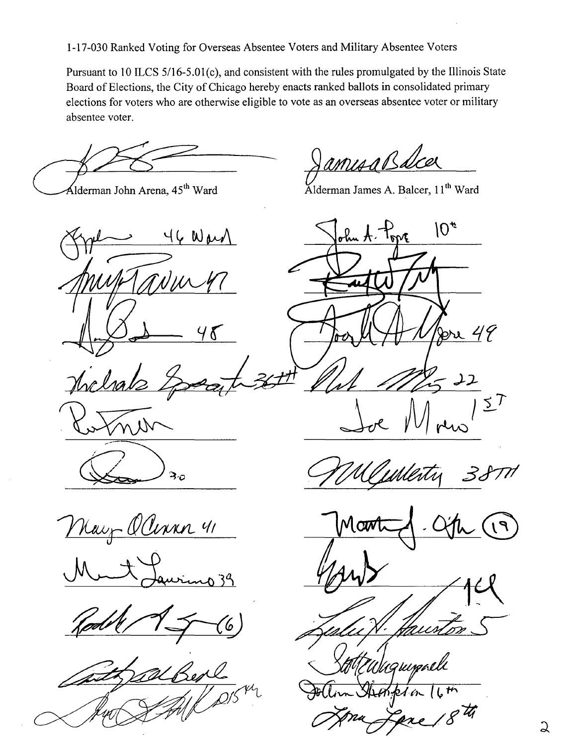1-17-030 Ranked Voting for Overseas Absentee Voters and Military Absentee Voters

Pursuant to 10 ILCS 5/16-5.01(c), and consistent with the rules promulgated by the Illinois State Board of Elections, the City of Chicago hereby enacts ranked ballots in consolidated primary elections for voters who are otherwise eligible to vote as an overseas absentee voter or military absentee voter.

amisaBalca

Alderman John Arena, 45<sup>th</sup> Ward Klderman James A. Balcer, 11<sup>th</sup> Ward

Way  $48$ *itytJpialz*  n N ろっ

 $10*$ ohn A. Topp 49  $\lambda$ - 22  $37$ 

May Olivan 41

20 39



Martin - City C9

:<br>UWW

2